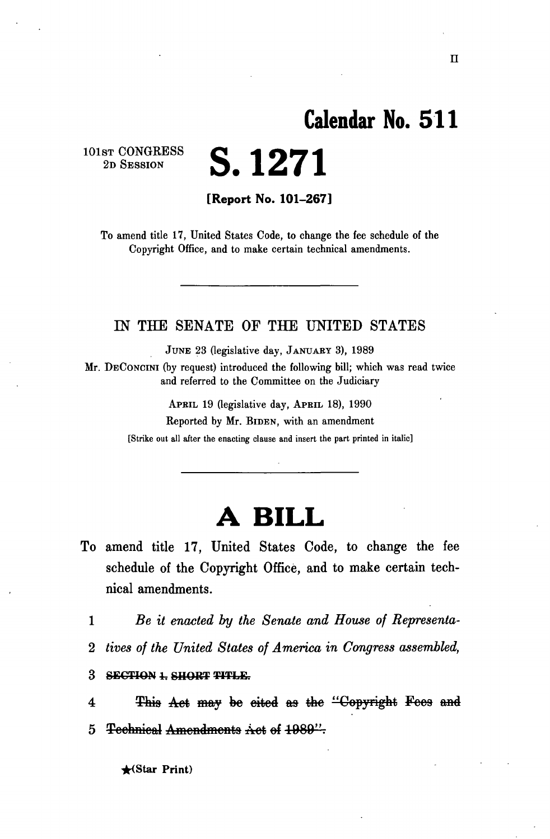## **Calendar No. 51 1**

101ST **CONGRESS**  2D SESSION

**[Report No. 101-267]** 

**S. 1271** 

To amend title 17, United States Code, to change the fee schedule of the Copyright Office, and to make certain technical amendments.

## IN THE SENATE OF THE UNITED STATES

JUNE 23 (legislative day, JANUARY 3), 1989

Mr. DECONCINI (by request) introduced the following bill; which was read twice and referred to the Committee on the Judiciary

> APBIL 19 (legislative day, APRIL 18), 1990 Reported by Mr. BIDEN, with an amendment [Strike out all after the enacting clause and insert the part printed in italic]

## **A BILL**

- To amend title 17, United States Code, to change the fee schedule of the Copyright Office, and to make certain technical amendments.
	- 1 *Be it enacted by the Senate and House of Representa-*
	- 2 *tives of the United States of America in Congress assembled,*
	- 3 **SECTION 1. SHORT TITLE.**

4 This Act may be cited as the "Copyright Fees and 5 Technical Amendments Act of 1989".

**\*<Star Print)**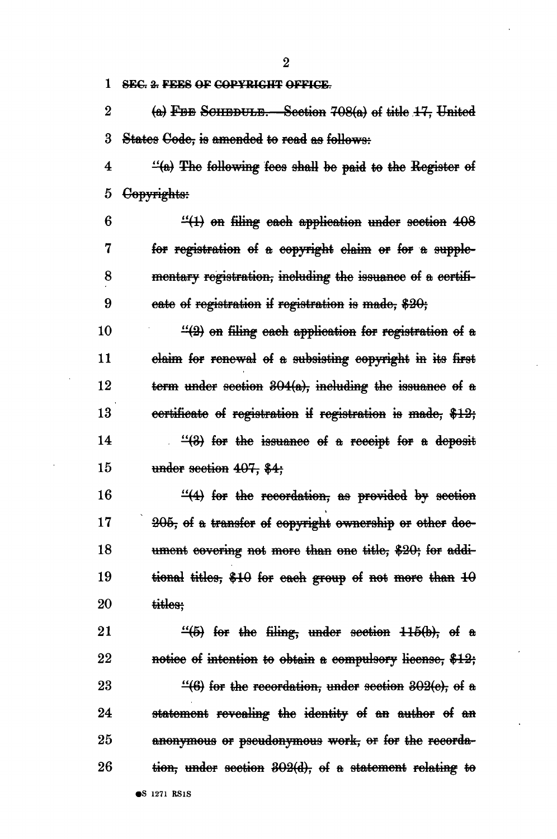**1** SEC. 2. FEES OF COPYRIGHT OFFICE.

2  $(a)$  FBB SCHEDULE. Section 708 $(a)$  of title 17, United 3 States Code, is amended to read as follows:

 $4 \frac{4}{60}$  The following fees shall be paid to the Register of 5 Copyrights:

6  $\frac{11}{10}$  on filing each application under section 408 7 for registration of a copyright claim or for a supple-8 montary registration, including the issuance of a certifi-9 eate of registration if registration is made, \$20;

10  $\frac{1}{2}$  on filing each application for registration of a 11 claim for renewal of a subsisting copyright in its first 12 term under section 304(a), including the issuance ef a 13 certificate ef registration if registration *is* made, \$43? 14  $\frac{4}{8}$  for the issuance of a receipt for a deposit 15 under section  $407$ , \$4;

16  $\frac{4}{4}$  for the recordation, as provided by section  $17 \qquad \qquad 205$ , of a transfer of copyright ownership or other doe-18 ument covering not more than one title, \$20; for addi-19 tional titles,  $$10$  for each group of not more than  $10$ 20 titles:

21  $\frac{4}{5}$  for the filing, under section 115(b), ef a 22 notice of intention to obtain a compulsory license,  $$12;$ 23  $\frac{4}{6}$  for the recordation, under section 302(e), of a 24 statement revealing the identity of an author of an 25 anonymous or pseudonymous work, or for the recorda-26 tien, under section  $302(d)$ , of a statement relating to

2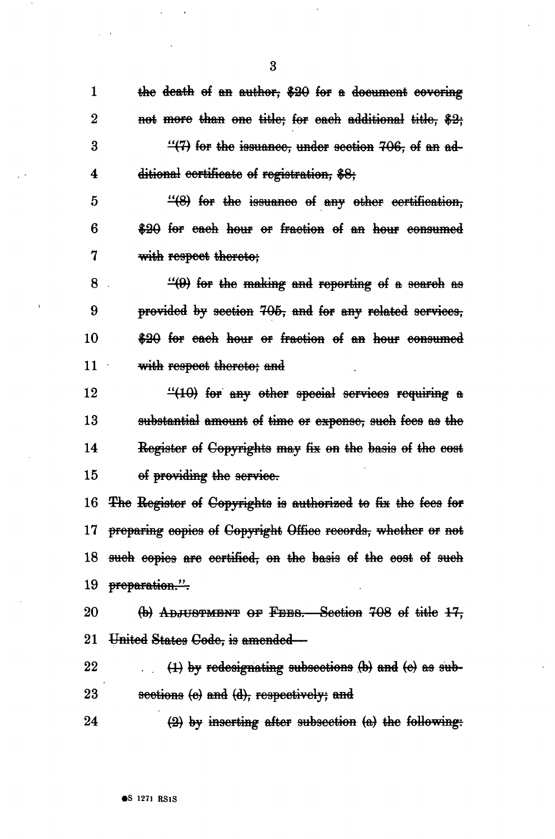$\mathbf{1}$ the death of an author, \$20 for a document covering  $\overline{2}$ not more than one title; for each additional title, \$2; 3  $\frac{11}{17}$  for the issuance, under section 706, of an additional certificate of registration, \$8; 4

 $\overline{\mathbf{3}}$ 

5  $\frac{14}{8}$  for the issuance of any other certification, 6 \$20 for each hour or fraction of an hour consumed 7 with respect thereto:

8  $\cdot$  (9) for the making and reporting of a search as 9 provided by section 705, and for any related services, 10 \$20 for each hour or fraction of an hour consumed 11 with respect thereto: and

12  $\frac{110}{100}$  for any other special services requiring a 13 substantial amount of time or expense, such fees as the 14 Register of Copyrights may fix on the basis of the cost 15 of providing the service.

16 The Register of Copyrights is authorized to fix the fees for 17 preparing copies of Copyright Office records, whether or not 18 such copies are certified, on the basis of the cost of such 19 preparation.".

20 (b) ADJUSTMENT OF FEES. Section 708 of title 17, 21 United States Gode, is amended—

22  $(1)$  by redesignating subsections  $(b)$  and  $(c)$  as sub-23 sections (e) and (d), respectively; and

24  $(2)$  by inserting after subsection (a) the following: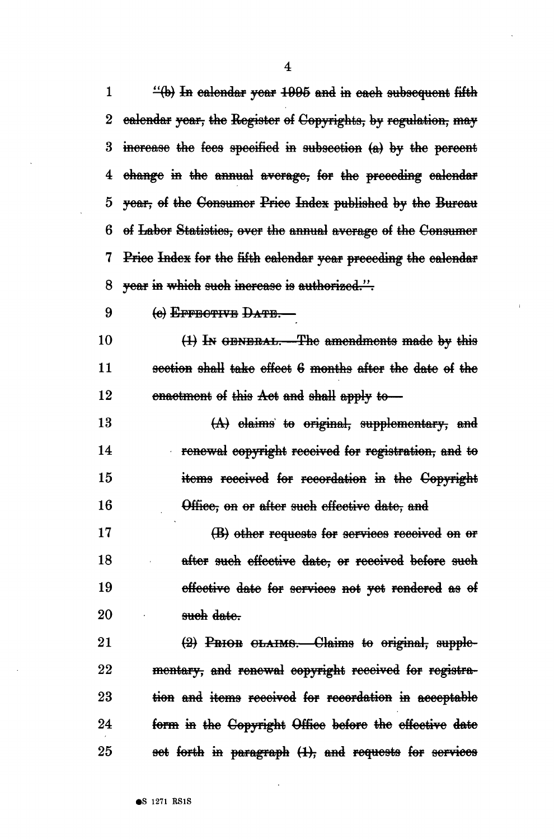$\mathbf{1}$  $\frac{44}{10}$  In calendar year 1995 and in each subsequent fifth ealendar year, the Register of Copyrights, by regulation, may  $\bf{2}$ increase the fees specified in subsection (a) by the percent 3 4 change in the annual average, for the preceding calendar 5 year, of the Consumer Price Index published by the Bureau 6 of Labor Statistics, over the annual average of the Consumer 7 Price Index for the fifth calendar year preceding the calendar vear in which such increase is authorized.". 8 9 (e) EFFBOTIVE DATE. 10 (1) In GENERAL. The amendments made by this  $11$ section shall take effect 6 months after the date of the 12 enactment of this Act and shall apply to-13  $(A)$  elaims to original, supplementary, and renewal copyright received for registration, and to 14 15 items received for recordation in the Copyright 16 Office, on or after such effective date, and 17 (B) other requests for services received on or 18 after such effective date, or received before such 19 effective date for services not yet rendered as of 20 such date. 21 (2) PRIOR CLAIMS. Claims to original, supple-22 mentary, and renewal copyright received for registra-23 tion and items received for recordation in acceptable 24 form in the Copyright Office before the effective date

set forth in paragraph (1), and requests for services

**6S** 1271 RS1S

25

 $\overline{\mathbf{4}}$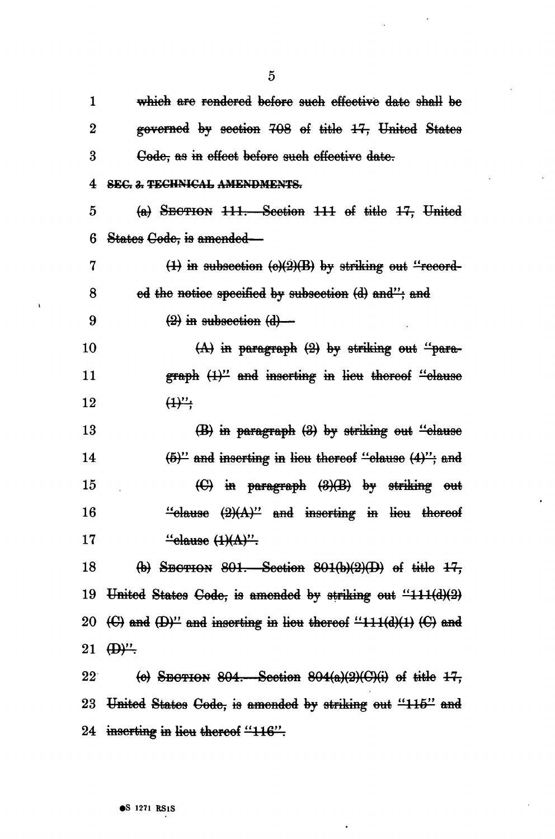1 which are rendered before such effective date shall be 2 governed by section 708 of title 17, United States 3 Gode, as in effect before such effective date. **4 SEC. 3. TECHNICAL AMENDMENTS.**  $5$  (a) SECTION  $111.$  Section  $111$  of title  $17.$  United 6 Statoa Code, is amondod— 7  $(1)$  in subsection  $\left(\frac{e}{2}\right)$  by striking out "record-8 ed the notice specified by subsection (d) and"; and 9  $(2)$  in subsection  $(d)$ 10  $(A)$  in paragraph  $(2)$  by striking out "para-11 **graph**  $\left(1\right)^{2}$  and inserting in lieu thereof "elause 12  $(1)^{n}$ 13  $(B)$  in paragraph  $(B)$  by striking out "clause 14  $(5)^{\prime\prime}$  and inserting in lieu thereof "clause  $(4)^{\prime\prime}$ ; and 15 (C) in paragraph  $(3)(B)$  by striking out 16 " $\frac{4}{6}$  "clause  $\left(\frac{2}{A}\right)^{n}$  and inserting in lieu thereof 17  $\text{``else (1)(A)''}.$ 18 (b) SECTION  $801$ . Section  $801(b)(2)(D)$  of title  $17$ , 19 United States Code, is amended by striking out  $411(1)(2)$ 20  $\left(\Theta\right)$  and  $\left(\Theta\right)$ " and inserting in lieu thereof "111(d)(1) ( $\Theta$ ) and 21  $\bigoplus^{\infty}$ 22 (e) SECTION 804. Section  $804(a)(2)(C)(i)$  of title  $17$ , 23 United States Code, is amended by striking out "115" and 24 inserting in lieu thereof "116".

5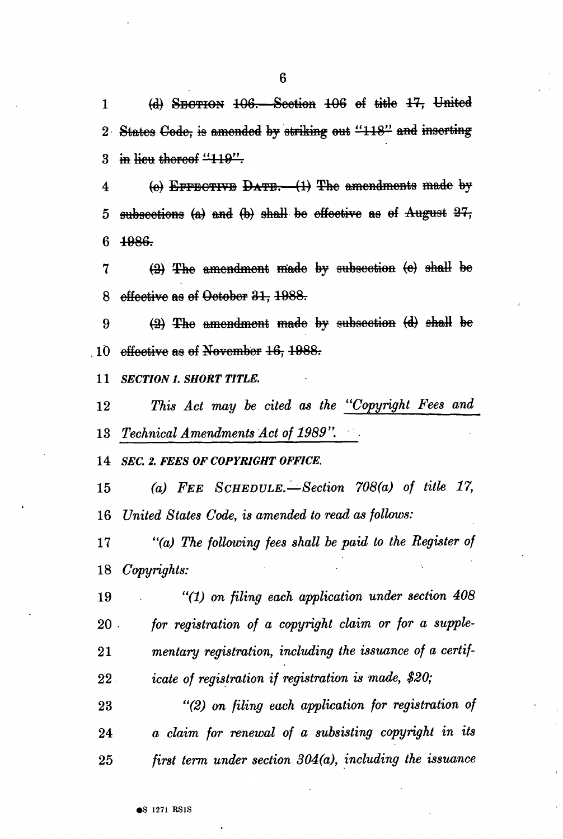1  $(d)$  SECTION  $106$ —Scotion  $106$  of title  $17$ , United 2 States Code, is amended by striking out "118" and inserting 3 in lieu thereof "119".

4 (e) EFFECTIVE DATE.  $(1)$  The amondmonts made by 5 subsections  $(a)$  and  $(b)$  shall be effective as of August  $27$ ,  $6 \frac{1986}{1000}$ 

 (2) The amendment made by subsection (e) shall be 8 offective as of Octobor 31, 1988.

9  $(2)$  The amondmont made by subscotion  $(d)$  shall be effective as of November  $16, 1988$ .

 *SECTION 1. SHORT TITLE.* 

12 7%is *Act may be cited as the "Copyright Fees and Technical Amendments Act of 1989".* 

 *SEC. 2. FEES OF COPYRIGHT OFFICE.* 

 *(a) FEE SCHEDULE.—Section 708(a) of title 17, United States Code, is amended to read as follows:* 

 *"(a) The following fees shall be paid to the Register of Copyrights:* 

 *"(1) on filing each application under section 408 for registration of a copyright claim or for a supple- mentary registration, including the issuance of a certif- icate of registration if registration is made, \$20;* 

 *"(2) on filing each application for registration of a claim for renewal of a subsisting copyright in its first term under section 304(a), including the issuance*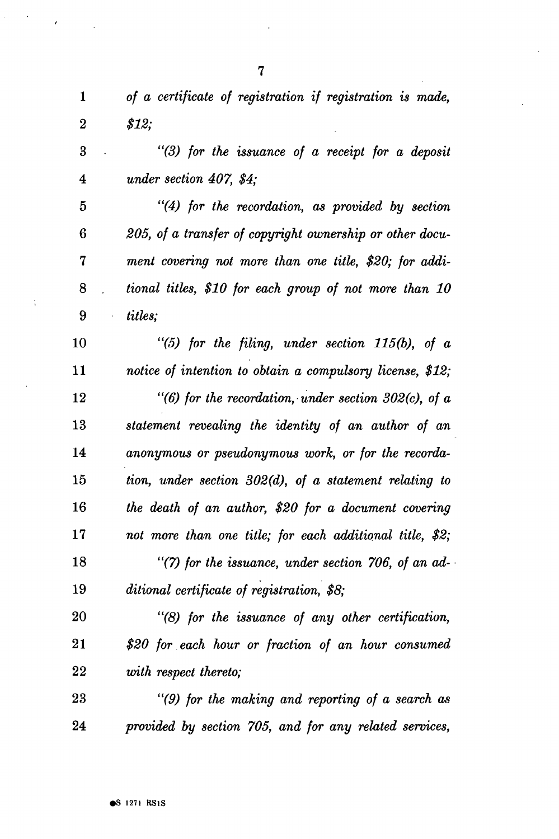| $\mathbf{1}$       | of a certificate of registration if registration is made, |
|--------------------|-----------------------------------------------------------|
| $\overline{2}$     | \$12:                                                     |
| 3<br>$\sim$ $\sim$ | "(3) for the issuance of a receipt for a deposit          |
| $\boldsymbol{4}$   | under section $407, $4;$                                  |
| 5                  | "(4) for the recordation, as provided by section          |
|                    |                                                           |

 *205, of a transfer of copyright ownership or other docu- ment covering not more than one title, \$20; for addi- tional titles, \$10 for each group of not more than 10 titles;* 

 *"(5) for the filing, under section 115(b), of a notice of intention to obtain a compulsory license, \$12; "(6) for the recordation, under section 302(c), of a statement revealing the identity of an author of an anonymous or pseudonymous work, or for the recorda- tion, under section 302(d), of a statement relating to the death of an author, \$20 for a document covering not more than one title; for each additional title, \$2; "(7) for the issuance, under section 706, of an ad- ditional certificate of registration, \$8;* 

 *"(8) for the issuance of any other certification, \$20 for each hour or fraction of an hour consumed with respect thereto;* 

 *"(9) for the making and reporting of a search as provided by section 705, and for any related services,* 

 $\ddot{i}$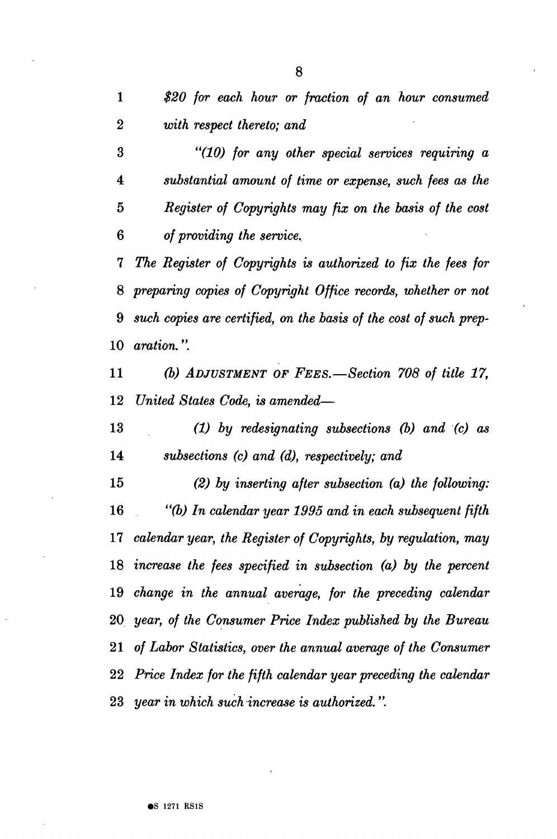*\$20 for each hour or fraction of an hour consumed* 

 *with respect thereto; and* 

 *"(10) for any other special services requiring a substantial amount of time or expense, such fees as the 5 Register of Copyrights may fix on the basis of the cost of providing the service. The Register of Copyrights is authorized to fix the fees for preparing copies of Copyright Office records, whether or not such copies are certified, on the basis of the cost of such prep- aration.*".  *(b) ADJUSTMENT OF FEES.*—*Section 708 of title 17, United States Code, is amended*—  *(1) by redesignating subsections (b) and (c) as subsections (c) and (d), respectively; and (2) by inserting after subsection (a) the following: "(b) In calendar year 1995 and in each subsequent fifth calendar year, the Register of Copyrights, by regulation, may increase the fees specified in subsection (a) by the percent change in the annual average, for the preceding calendar year, of the Consumer Price Index published by the Bureau of Labor Statistics, over the annual average of the Consumer Price Index for the fifth calendar year preceding the calendar* 

 *year in which such increase is authorized.".*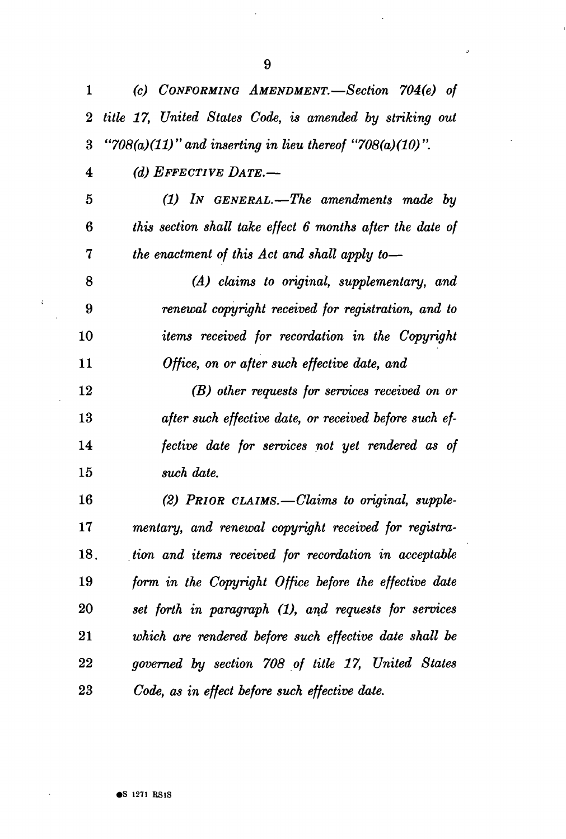| 1                       | (c) CONFORMING AMENDMENT.—Section 704(e) of               |
|-------------------------|-----------------------------------------------------------|
| $\overline{2}$          | title 17, United States Code, is amended by striking out  |
| 3                       | "708(a)(11)" and inserting in lieu thereof "708(a)(10)".  |
| $\overline{\mathbf{4}}$ | (d) EFFECTIVE DATE.-                                      |
| 5                       | $(1)$ In GENERAL.—The amendments made by                  |
| 6                       | this section shall take effect 6 months after the date of |
| 7                       | the enactment of this Act and shall apply to-             |
| 8                       | (A) claims to original, supplementary, and                |
| 9                       | renewal copyright received for registration, and to       |
| 10                      | items received for recordation in the Copyright           |
| 11                      | Office, on or after such effective date, and              |
| 12                      | (B) other requests for services received on or            |
| 13                      | after such effective date, or received before such ef-    |
| 14                      | fective date for services not yet rendered as of          |
| 15                      | such date.                                                |
| 16                      | (2) PRIOR CLAIMS. - Claims to original, supple-           |
| 17                      | mentary, and renewal copyright received for registra-     |
| 18.                     | tion and items received for recordation in acceptable     |
| 19                      | form in the Copyright Office before the effective date    |
| 20                      | set forth in paragraph (1), and requests for services     |
| 21                      | which are rendered before such effective date shall be    |
| 22                      | governed by section 708 of title 17, United States        |

*Code, as in effect before such effective date.* 

 ${\bf 23}$ 

 $\mathcal{L}$ 

9

 $\circ$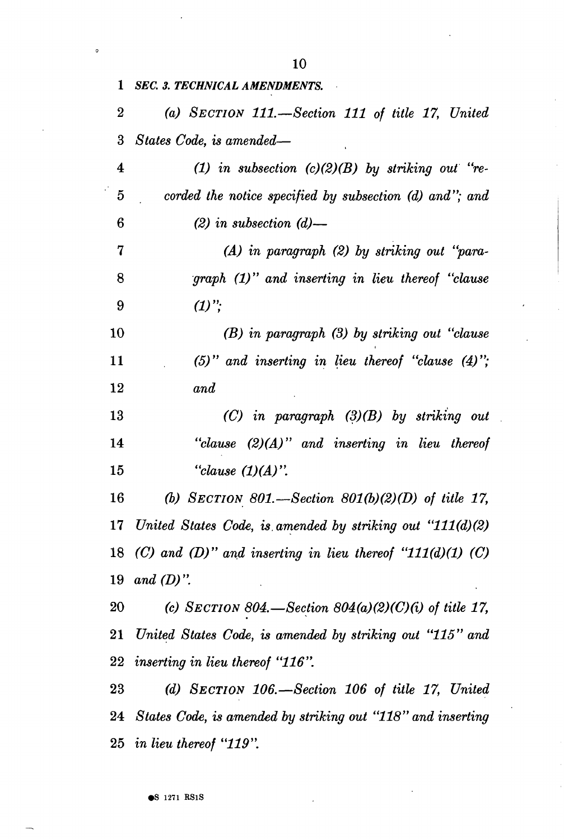| $\mathbf{1}^-$   | <b>SEC. 3. TECHNICAL AMENDMENTS.</b>                                |
|------------------|---------------------------------------------------------------------|
| $\boldsymbol{2}$ | (a) SECTION 111.—Section 111 of title 17, United                    |
| 3                | States Code, is amended—                                            |
| 4                | (1) in subsection $(c)(2)(B)$ by striking out "re-                  |
| $\overline{5}$   | corded the notice specified by subsection (d) and"; and             |
| 6                | $(2)$ in subsection $(d)$ —                                         |
| 7                | (A) in paragraph (2) by striking out "para-                         |
| 8                | $graph (1)$ " and inserting in lieu thereof "clause"                |
| 9                | $(1)$ ";                                                            |
| 10               | (B) in paragraph (3) by striking out "clause                        |
| 11               | $(5)$ " and inserting in lieu thereof "clause $(4)$ ";              |
| 12               | and                                                                 |
| 13               | $(C)$ in paragraph $(3)(B)$ by striking out                         |
| 14               | "clause $(2)(A)$ " and inserting in lieu thereof                    |
| 15               | "clause $(1)(A)$ ".                                                 |
| <b>16</b>        | (b) SECTION 801.—Section 801(b)(2)(D) of title 17,                  |
| 17               | United States Code, is amended by striking out "111(d)(2)           |
|                  | 18 $(C)$ and $(D)$ " and inserting in lieu thereof "111(d)(1) $(C)$ |
| 19               | and $(D)$ ".                                                        |
| 20               | (c) SECTION 804. Section $804(a)(2)(C)(i)$ of title 17,             |
|                  |                                                                     |
| 21               | United States Code, is amended by striking out "115" and            |
| 22               | <i>inserting in lieu thereof "116".</i>                             |
| 23               | (d) SECTION $106$ . - Section $106$ of title 17, United             |

 *in lieu thereof "119".* 

 $\circ$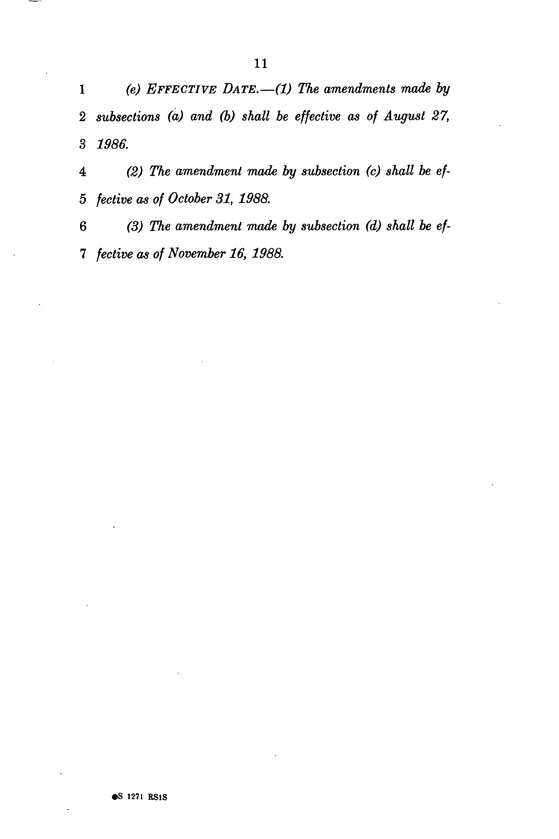*(e) EFFECTIVE DATE.*—*(1) The amendments made by subsections (a) and (b) shall be effective as of August 27, 1986.* 

 *(2) The amendment made by subsection (c) shall be ef-5 fective as of October 31, 1988.* 

 *(3) The amendment made by subsection (d) shall be ef- fective as of November 16, 1988.*